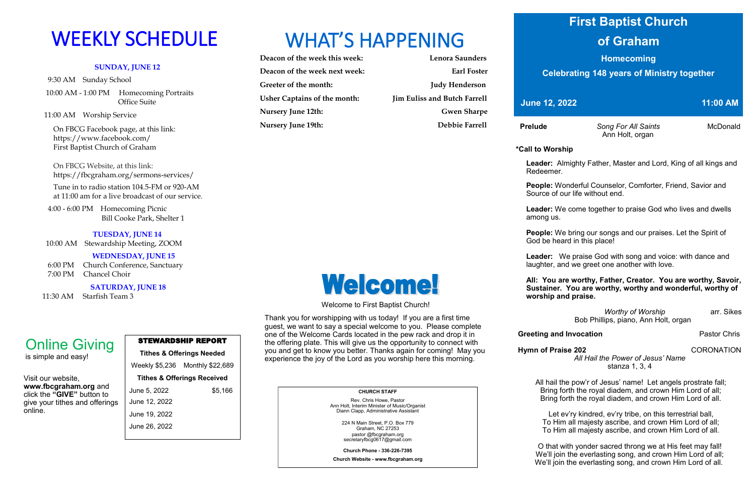### **SUNDAY, JUNE 12**

9:30 AM Sunday School

 10:00 AM - 1:00 PM Homecoming Portraits Office Suite

11:00 AM Worship Service

 On FBCG Facebook page, at this link: [https://www.facebook.com/](https://www.facebook.com/First%20Baptist%20Church%20of%20Graham)  [First Baptist Church of Graham](https://www.facebook.com/First%20Baptist%20Church%20of%20Graham)

 On FBCG Website, at this link: <https://fbcgraham.org/sermons-services/>

 Tune in to radio station 104.5-FM or 920-AM at 11:00 am for a live broadcast of our service.

 4:00 - 6:00 PM Homecoming Picnic Bill Cooke Park, Shelter 1

### **TUESDAY, JUNE 14**

10:00 AM Stewardship Meeting, ZOOM

### **WEDNESDAY, JUNE 15**

6:00 PM Church Conference, Sanctuary

7:00 PM Chancel Choir

**SATURDAY, JUNE 18**

11:30 AM Starfish Team 3

| <b>Lenora Saunders</b>              |
|-------------------------------------|
| <b>Earl Foster</b>                  |
| <b>Judy Henderson</b>               |
| <b>Jim Euliss and Butch Farrell</b> |
| <b>Gwen Sharpe</b>                  |
| Debbie Farrell                      |
|                                     |

### STEWARDSHIP REPORT

### **Tithes & Offerings Needed**

Weekly \$5,236 Monthly \$22,689 **Tithes & Offerings Received** June 5, 2022 \$5,166 June 12, 2022 June 19, 2022 June 26, 2022

# WEEKLY SCHEDULE WHAT'S HAPPENING

Visit our website, **www.fbcgraham.org** and click the **"GIVE"** button to give your tithes and offerings online.

# Online Giving

is simple and easy!

#### **CHURCH STAFF** Rev. Chris Howe, Pastor

Ann Holt, Interim Minister of Music/Organist Diann Clapp, Administrative Assistant

> O that with yonder sacred throng we at His feet may fall! We'll join the everlasting song, and crown Him Lord of all; We'll join the everlasting song, and crown Him Lord of all.

224 N Main Street, P.O. Box 779 Graham, NC 27253 pastor @fbcgraham.org secretaryfbcg0617@gmail.com

**Church Phone - 336-226-7395**

# Welcome! Welcome to First Baptist Church!

**Church Website - www.fbcgraham.org**

 **Prelude** *Song For All Saints* McDonald Ann Holt, organ

### **\*Call to Worship**

 **Leader:** Almighty Father, Master and Lord, King of all kings and Redeemer.

 **People:** Wonderful Counselor, Comforter, Friend, Savior and Source of our life without end.

 **Leader:** We come together to praise God who lives and dwells among us.

 **People:** We bring our songs and our praises. Let the Spirit of God be heard in this place!

 **Leader:** We praise God with song and voice: with dance and laughter, and we greet one another with love.

 **All: You are worthy, Father, Creator. You are worthy, Savoir, Sustainer. You are worthy, worthy and wonderful, worthy of worship and praise.**

> *Worthy of Worship* arr. Sikes Bob Phillips, piano, Ann Holt, organ

### **Greeting and Invocation Pastor Chris**

**Hymn of Praise 202** CORONATION

*All Hail the Power of Jesus' Name* stanza 1, 3, 4

All hail the pow'r of Jesus' name! Let angels prostrate fall; Bring forth the royal diadem, and crown Him Lord of all; Bring forth the royal diadem, and crown Him Lord of all.

Let ev'ry kindred, ev'ry tribe, on this terrestrial ball, To Him all majesty ascribe, and crown Him Lord of all; To Him all majesty ascribe, and crown Him Lord of all.

Thank you for worshipping with us today! If you are a first time guest, we want to say a special welcome to you. Please complete one of the Welcome Cards located in the pew rack and drop it in the offering plate. This will give us the opportunity to connect with you and get to know you better. Thanks again for coming! May you experience the joy of the Lord as you worship here this morning.

# **First Baptist Church**

## **of Graham**

**Homecoming**

**Celebrating 148 years of Ministry together**

**11:00 AM June 12, 2022 11:00 AM**